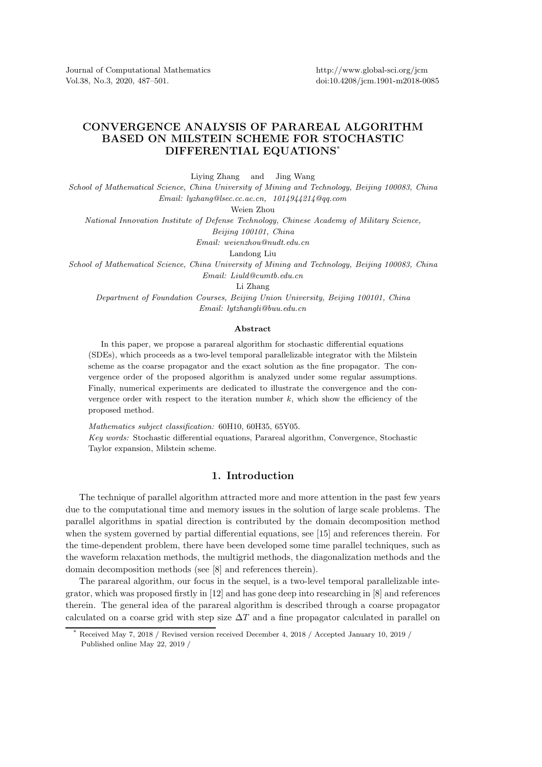Journal of Computational Mathematics Vol.38, No.3, 2020, 487–501.

http://www.global-sci.org/jcm doi:10.4208/jcm.1901-m2018-0085

## CONVERGENCE ANALYSIS OF PARAREAL ALGORITHM BASED ON MILSTEIN SCHEME FOR STOCHASTIC DIFFERENTIAL EQUATIONS\*

Liying Zhang and Jing Wang

*School of Mathematical Science, China University of Mining and Technology, Beijing 100083, China Email: lyzhang@lsec.cc.ac.cn, 1014944214@qq.com*

Weien Zhou

*National Innovation Institute of Defense Technology, Chinese Academy of Military Science,*

*Beijing 100101, China*

*Email: weienzhou@nudt.edu.cn*

Landong Liu

*School of Mathematical Science, China University of Mining and Technology, Beijing 100083, China Email: Liuld@cumtb.edu.cn*

Li Zhang

*Department of Foundation Courses, Beijing Union University, Beijing 100101, China Email: lytzhangli@buu.edu.cn*

## Abstract

In this paper, we propose a parareal algorithm for stochastic differential equations (SDEs), which proceeds as a two-level temporal parallelizable integrator with the Milstein scheme as the coarse propagator and the exact solution as the fine propagator. The convergence order of the proposed algorithm is analyzed under some regular assumptions. Finally, numerical experiments are dedicated to illustrate the convergence and the convergence order with respect to the iteration number  $k$ , which show the efficiency of the proposed method.

*Mathematics subject classification:* 60H10, 60H35, 65Y05.

*Key words:* Stochastic differential equations, Parareal algorithm, Convergence, Stochastic Taylor expansion, Milstein scheme.

## 1. Introduction

The technique of parallel algorithm attracted more and more attention in the past few years due to the computational time and memory issues in the solution of large scale problems. The parallel algorithms in spatial direction is contributed by the domain decomposition method when the system governed by partial differential equations, see [15] and references therein. For the time-dependent problem, there have been developed some time parallel techniques, such as the waveform relaxation methods, the multigrid methods, the diagonalization methods and the domain decomposition methods (see [8] and references therein).

The parareal algorithm, our focus in the sequel, is a two-level temporal parallelizable integrator, which was proposed firstly in [12] and has gone deep into researching in [8] and references therein. The general idea of the parareal algorithm is described through a coarse propagator calculated on a coarse grid with step size  $\Delta T$  and a fine propagator calculated in parallel on

Received May 7, 2018 / Revised version received December 4, 2018 / Accepted January 10, 2019 / Published online May 22, 2019 /